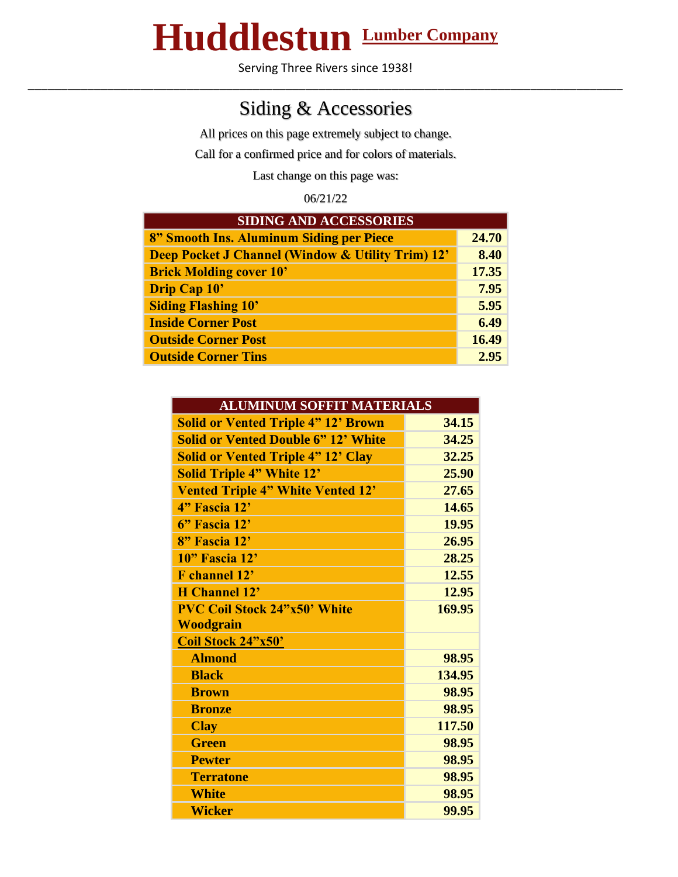## **Huddlestun Lumber Company**

Serving Three Rivers since 1938! \_\_\_\_\_\_\_\_\_\_\_\_\_\_\_\_\_\_\_\_\_\_\_\_\_\_\_\_\_\_\_\_\_\_\_\_\_\_\_\_\_\_\_\_\_\_\_\_\_\_\_\_\_\_\_\_\_\_\_\_\_\_\_\_\_\_\_\_\_\_\_\_\_\_\_\_\_\_\_\_\_\_\_\_\_\_\_\_\_\_

## Siding & Accessories

All prices on this page extremely subject to change.

Call for a confirmed price and for colors of materials.

Last change on this page was:

06/21/22

| <b>SIDING AND ACCESSORIES</b>                     |       |  |
|---------------------------------------------------|-------|--|
| 8" Smooth Ins. Aluminum Siding per Piece          | 24.70 |  |
| Deep Pocket J Channel (Window & Utility Trim) 12' | 8.40  |  |
| <b>Brick Molding cover 10'</b>                    | 17.35 |  |
| Drip Cap 10'                                      | 7.95  |  |
| <b>Siding Flashing 10'</b>                        | 5.95  |  |
| <b>Inside Corner Post</b>                         | 6.49  |  |
| <b>Outside Corner Post</b>                        | 16.49 |  |
| <b>Outside Corner Tins</b>                        | 2.95  |  |

| <b>ALUMINUM SOFFIT MATERIALS</b>           |        |  |
|--------------------------------------------|--------|--|
| <b>Solid or Vented Triple 4" 12' Brown</b> | 34.15  |  |
| <b>Solid or Vented Double 6" 12' White</b> | 34.25  |  |
| <b>Solid or Vented Triple 4" 12' Clay</b>  | 32.25  |  |
| <b>Solid Triple 4" White 12'</b>           | 25.90  |  |
| <b>Vented Triple 4" White Vented 12'</b>   | 27.65  |  |
| 4" Fascia 12'                              | 14.65  |  |
| 6" Fascia 12'                              | 19.95  |  |
| 8" Fascia 12'                              | 26.95  |  |
| 10" Fascia 12'                             | 28.25  |  |
| <b>F</b> channel 12'                       | 12.55  |  |
| <b>H</b> Channel 12'                       | 12.95  |  |
| <b>PVC Coil Stock 24"x50' White</b>        | 169.95 |  |
| <b>Woodgrain</b>                           |        |  |
| Coil Stock 24"x50"                         |        |  |
| <b>Almond</b>                              | 98.95  |  |
| <b>Black</b>                               | 134.95 |  |
| <b>Brown</b>                               | 98.95  |  |
| <b>Bronze</b>                              | 98.95  |  |
| <b>Clay</b>                                | 117.50 |  |
| <b>Green</b>                               | 98.95  |  |
| <b>Pewter</b>                              | 98.95  |  |
| <b>Terratone</b>                           | 98.95  |  |
| <b>White</b>                               | 98.95  |  |
| <b>Wicker</b>                              | 99.95  |  |